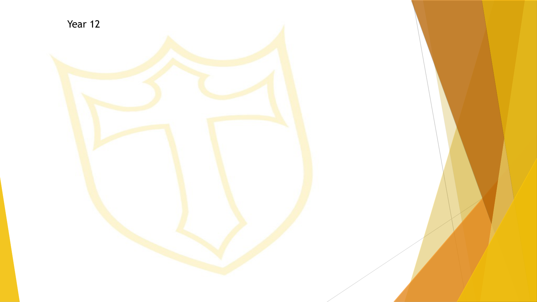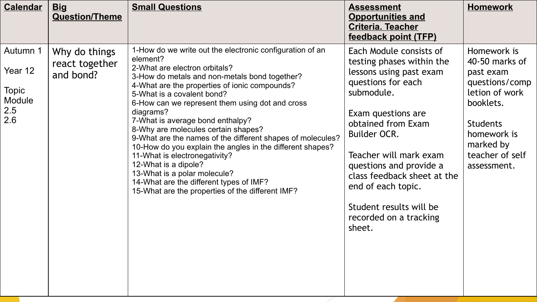| <b>Calendar</b>                                      | <b>Big</b><br><b>Question/Theme</b>          | <b>Small Questions</b>                                                                                                                                                                                                                                                                                                                                                                                                                                                                                                                                                                                                                                                                              | <b>Assessment</b><br><b>Opportunities and</b><br><b>Criteria. Teacher</b><br>feedback point (TFP)                                                                                                                                                                                                                                                               | <b>Homework</b>                                                                                                                                                              |
|------------------------------------------------------|----------------------------------------------|-----------------------------------------------------------------------------------------------------------------------------------------------------------------------------------------------------------------------------------------------------------------------------------------------------------------------------------------------------------------------------------------------------------------------------------------------------------------------------------------------------------------------------------------------------------------------------------------------------------------------------------------------------------------------------------------------------|-----------------------------------------------------------------------------------------------------------------------------------------------------------------------------------------------------------------------------------------------------------------------------------------------------------------------------------------------------------------|------------------------------------------------------------------------------------------------------------------------------------------------------------------------------|
| Autumn 1<br>Year 12<br>Topic<br>Module<br>2.5<br>2.6 | Why do things<br>react together<br>and bond? | 1-How do we write out the electronic configuration of an<br>element?<br>2-What are electron orbitals?<br>3-How do metals and non-metals bond together?<br>4-What are the properties of ionic compounds?<br>5-What is a covalent bond?<br>6-How can we represent them using dot and cross<br>diagrams?<br>7-What is average bond enthalpy?<br>8-Why are molecules certain shapes?<br>9-What are the names of the different shapes of molecules?<br>10-How do you explain the angles in the different shapes?<br>11-What is electronegativity?<br>12-What is a dipole?<br>13-What is a polar molecule?<br>14-What are the different types of IMF?<br>15-What are the properties of the different IMF? | Each Module consists of<br>testing phases within the<br>lessons using past exam<br>questions for each<br>submodule.<br>Exam questions are<br>obtained from Exam<br><b>Builder OCR.</b><br>Teacher will mark exam<br>questions and provide a<br>class feedback sheet at the<br>end of each topic.<br>Student results will be<br>recorded on a tracking<br>sheet. | Homework is<br>40-50 marks of<br>past exam<br>questions/comp<br>letion of work<br>booklets.<br><b>Students</b><br>homework is<br>marked by<br>teacher of self<br>assessment. |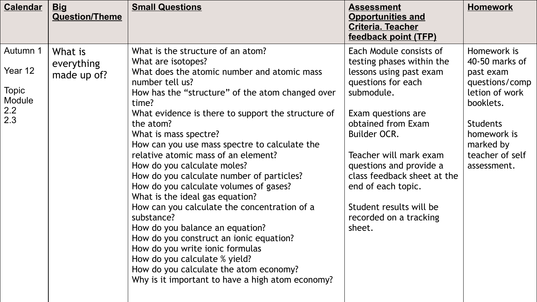| <b>Calendar</b>                                                    | <b>Big</b><br><b>Question/Theme</b>  | <b>Small Questions</b>                                                                                                                                                                                                                                                                                                                                                                                                                                                                                                                                                                                                                                                                                                                                                                                                                            | <b>Assessment</b><br><b>Opportunities and</b><br><b>Criteria. Teacher</b><br>feedback point (TFP)                                                                                                                                                                                                                                                               | <b>Homework</b>                                                                                                                                                              |
|--------------------------------------------------------------------|--------------------------------------|---------------------------------------------------------------------------------------------------------------------------------------------------------------------------------------------------------------------------------------------------------------------------------------------------------------------------------------------------------------------------------------------------------------------------------------------------------------------------------------------------------------------------------------------------------------------------------------------------------------------------------------------------------------------------------------------------------------------------------------------------------------------------------------------------------------------------------------------------|-----------------------------------------------------------------------------------------------------------------------------------------------------------------------------------------------------------------------------------------------------------------------------------------------------------------------------------------------------------------|------------------------------------------------------------------------------------------------------------------------------------------------------------------------------|
| Autumn 1<br>Year 12<br><b>Topic</b><br><b>Module</b><br>2.2<br>2.3 | What is<br>everything<br>made up of? | What is the structure of an atom?<br>What are isotopes?<br>What does the atomic number and atomic mass<br>number tell us?<br>How has the "structure" of the atom changed over<br>time?<br>What evidence is there to support the structure of<br>the atom?<br>What is mass spectre?<br>How can you use mass spectre to calculate the<br>relative atomic mass of an element?<br>How do you calculate moles?<br>How do you calculate number of particles?<br>How do you calculate volumes of gases?<br>What is the ideal gas equation?<br>How can you calculate the concentration of a<br>substance?<br>How do you balance an equation?<br>How do you construct an ionic equation?<br>How do you write ionic formulas<br>How do you calculate % yield?<br>How do you calculate the atom economy?<br>Why is it important to have a high atom economy? | Each Module consists of<br>testing phases within the<br>lessons using past exam<br>questions for each<br>submodule.<br>Exam questions are<br>obtained from Exam<br><b>Builder OCR.</b><br>Teacher will mark exam<br>questions and provide a<br>class feedback sheet at the<br>end of each topic.<br>Student results will be<br>recorded on a tracking<br>sheet. | Homework is<br>40-50 marks of<br>past exam<br>questions/comp<br>letion of work<br>booklets.<br><b>Students</b><br>homework is<br>marked by<br>teacher of self<br>assessment. |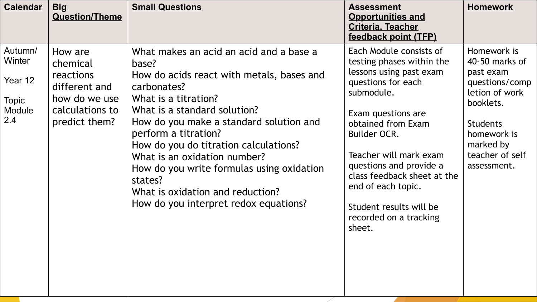| <b>Calendar</b>                                               | <u>Big</u><br><b>Question/Theme</b>                                                                    | <b>Small Questions</b>                                                                                                                                                                                                                                                                                                                                                                                                                                | <b>Assessment</b><br><b>Opportunities and</b><br><b>Criteria. Teacher</b><br>feedback point (TFP)                                                                                                                                                                                                                                                               | <b>Homework</b>                                                                                                                                                              |
|---------------------------------------------------------------|--------------------------------------------------------------------------------------------------------|-------------------------------------------------------------------------------------------------------------------------------------------------------------------------------------------------------------------------------------------------------------------------------------------------------------------------------------------------------------------------------------------------------------------------------------------------------|-----------------------------------------------------------------------------------------------------------------------------------------------------------------------------------------------------------------------------------------------------------------------------------------------------------------------------------------------------------------|------------------------------------------------------------------------------------------------------------------------------------------------------------------------------|
| Autumn/<br>Winter<br>Year 12<br><b>Topic</b><br>Module<br>2.4 | How are<br>chemical<br>reactions<br>different and<br>how do we use<br>calculations to<br>predict them? | What makes an acid an acid and a base a<br>base?<br>How do acids react with metals, bases and<br>carbonates?<br>What is a titration?<br>What is a standard solution?<br>How do you make a standard solution and<br>perform a titration?<br>How do you do titration calculations?<br>What is an oxidation number?<br>How do you write formulas using oxidation<br>states?<br>What is oxidation and reduction?<br>How do you interpret redox equations? | Each Module consists of<br>testing phases within the<br>lessons using past exam<br>questions for each<br>submodule.<br>Exam questions are<br>obtained from Exam<br><b>Builder OCR.</b><br>Teacher will mark exam<br>questions and provide a<br>class feedback sheet at the<br>end of each topic.<br>Student results will be<br>recorded on a tracking<br>sheet. | Homework is<br>40-50 marks of<br>past exam<br>questions/comp<br>letion of work<br>booklets.<br><b>Students</b><br>homework is<br>marked by<br>teacher of self<br>assessment. |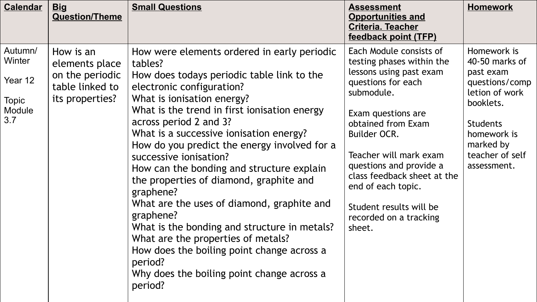| <b>Calendar</b>                                               | <u>Big</u><br><b>Question/Theme</b>                                                  | <b>Small Questions</b>                                                                                                                                                                                                                                                                                                                                                                                                                                                                                                                                                                                                                                                                                                                 | <b>Assessment</b><br><b>Opportunities and</b><br><b>Criteria. Teacher</b><br>feedback point (TFP)                                                                                                                                                                                                                                                               | <b>Homework</b>                                                                                                                                                              |
|---------------------------------------------------------------|--------------------------------------------------------------------------------------|----------------------------------------------------------------------------------------------------------------------------------------------------------------------------------------------------------------------------------------------------------------------------------------------------------------------------------------------------------------------------------------------------------------------------------------------------------------------------------------------------------------------------------------------------------------------------------------------------------------------------------------------------------------------------------------------------------------------------------------|-----------------------------------------------------------------------------------------------------------------------------------------------------------------------------------------------------------------------------------------------------------------------------------------------------------------------------------------------------------------|------------------------------------------------------------------------------------------------------------------------------------------------------------------------------|
| Autumn/<br>Winter<br>Year 12<br><b>Topic</b><br>Module<br>3.7 | How is an<br>elements place<br>on the periodic<br>table linked to<br>its properties? | How were elements ordered in early periodic<br>tables?<br>How does todays periodic table link to the<br>electronic configuration?<br>What is ionisation energy?<br>What is the trend in first ionisation energy<br>across period 2 and 3?<br>What is a successive ionisation energy?<br>How do you predict the energy involved for a<br>successive ionisation?<br>How can the bonding and structure explain<br>the properties of diamond, graphite and<br>graphene?<br>What are the uses of diamond, graphite and<br>graphene?<br>What is the bonding and structure in metals?<br>What are the properties of metals?<br>How does the boiling point change across a<br>period?<br>Why does the boiling point change across a<br>period? | Each Module consists of<br>testing phases within the<br>lessons using past exam<br>questions for each<br>submodule.<br>Exam questions are<br>obtained from Exam<br><b>Builder OCR.</b><br>Teacher will mark exam<br>questions and provide a<br>class feedback sheet at the<br>end of each topic.<br>Student results will be<br>recorded on a tracking<br>sheet. | Homework is<br>40-50 marks of<br>past exam<br>questions/comp<br>letion of work<br>booklets.<br><b>Students</b><br>homework is<br>marked by<br>teacher of self<br>assessment. |
|                                                               |                                                                                      |                                                                                                                                                                                                                                                                                                                                                                                                                                                                                                                                                                                                                                                                                                                                        |                                                                                                                                                                                                                                                                                                                                                                 |                                                                                                                                                                              |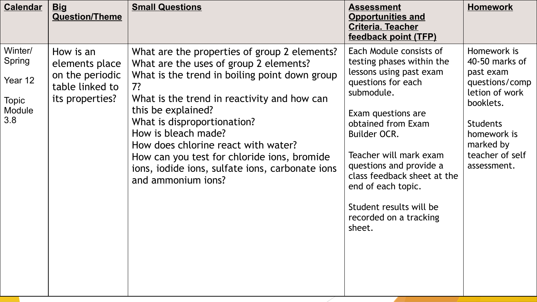| Each Module consists of<br>Winter/<br>What are the properties of group 2 elements?<br>How is an<br>Spring<br>testing phases within the<br>What are the uses of group 2 elements?<br>elements place<br>lessons using past exam<br>past exam<br>on the periodic<br>What is the trend in boiling point down group<br>Year 12<br>questions for each<br>table linked to<br>7?<br>submodule.<br>What is the trend in reactivity and how can<br>its properties?<br><b>Topic</b><br>booklets.<br>this be explained?<br>Module<br>Exam questions are<br>3.8<br>What is disproportionation?<br>obtained from Exam<br><b>Students</b><br>How is bleach made?<br><b>Builder OCR.</b><br>marked by<br>How does chlorine react with water?<br>Teacher will mark exam<br>How can you test for chloride ions, bromide<br>questions and provide a<br>ions, iodide ions, sulfate ions, carbonate ions<br>class feedback sheet at the<br>and ammonium ions?<br>end of each topic.<br>Student results will be<br>recorded on a tracking<br>sheet. | <b>Calendar</b> | <u>Big</u><br><b>Question/Theme</b> | <b>Small Questions</b> | <b>Assessment</b><br><b>Opportunities and</b><br><b>Criteria. Teacher</b><br>feedback point (TFP) | <b>Homework</b>                                                                                                    |
|-------------------------------------------------------------------------------------------------------------------------------------------------------------------------------------------------------------------------------------------------------------------------------------------------------------------------------------------------------------------------------------------------------------------------------------------------------------------------------------------------------------------------------------------------------------------------------------------------------------------------------------------------------------------------------------------------------------------------------------------------------------------------------------------------------------------------------------------------------------------------------------------------------------------------------------------------------------------------------------------------------------------------------|-----------------|-------------------------------------|------------------------|---------------------------------------------------------------------------------------------------|--------------------------------------------------------------------------------------------------------------------|
|                                                                                                                                                                                                                                                                                                                                                                                                                                                                                                                                                                                                                                                                                                                                                                                                                                                                                                                                                                                                                               |                 |                                     |                        |                                                                                                   | Homework is<br>40-50 marks of<br>questions/comp<br>letion of work<br>homework is<br>teacher of self<br>assessment. |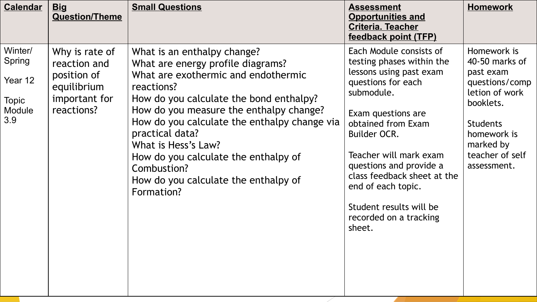| <b>Calendar</b><br><b>Big</b><br><b>Question/Theme</b>                                                                                                              | <b>Small Questions</b>                                                                                                                                                                                                                                                                                                                                                                                             | <b>Assessment</b><br><b>Opportunities and</b><br><b>Criteria. Teacher</b><br>feedback point (TFP)                                                                                                                                                                                                                                                               | <b>Homework</b>                                                                                                                                                              |
|---------------------------------------------------------------------------------------------------------------------------------------------------------------------|--------------------------------------------------------------------------------------------------------------------------------------------------------------------------------------------------------------------------------------------------------------------------------------------------------------------------------------------------------------------------------------------------------------------|-----------------------------------------------------------------------------------------------------------------------------------------------------------------------------------------------------------------------------------------------------------------------------------------------------------------------------------------------------------------|------------------------------------------------------------------------------------------------------------------------------------------------------------------------------|
| Winter/<br>Why is rate of<br>Spring<br>reaction and<br>position of<br>Year 12<br>equilibrium<br>important for<br><b>Topic</b><br>reactions?<br><b>Module</b><br>3.9 | What is an enthalpy change?<br>What are energy profile diagrams?<br>What are exothermic and endothermic<br>reactions?<br>How do you calculate the bond enthalpy?<br>How do you measure the enthalpy change?<br>How do you calculate the enthalpy change via<br>practical data?<br>What is Hess's Law?<br>How do you calculate the enthalpy of<br>Combustion?<br>How do you calculate the enthalpy of<br>Formation? | Each Module consists of<br>testing phases within the<br>lessons using past exam<br>questions for each<br>submodule.<br>Exam questions are<br>obtained from Exam<br><b>Builder OCR.</b><br>Teacher will mark exam<br>questions and provide a<br>class feedback sheet at the<br>end of each topic.<br>Student results will be<br>recorded on a tracking<br>sheet. | Homework is<br>40-50 marks of<br>past exam<br>questions/comp<br>letion of work<br>booklets.<br><b>Students</b><br>homework is<br>marked by<br>teacher of self<br>assessment. |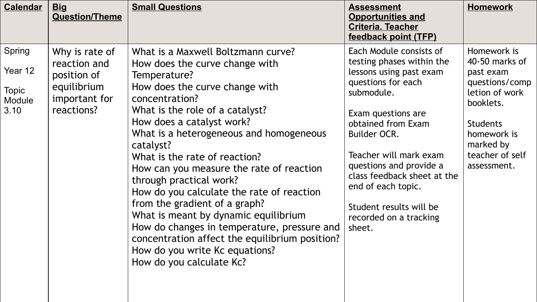| <b>Calendar</b>                                            | <u>Big</u><br><b>Question/Theme</b>                                                         | <b>Small Questions</b>                                                                                                                                                                                                                                                                                                                                                                                                                                                                                                                                                                                                                                        | <b>Assessment</b><br><b>Opportunities and</b><br><b>Criteria. Teacher</b><br>feedback point (TFP)                                                                                                                                                                                                                                                               | <b>Homework</b>                                                                                                                                                              |
|------------------------------------------------------------|---------------------------------------------------------------------------------------------|---------------------------------------------------------------------------------------------------------------------------------------------------------------------------------------------------------------------------------------------------------------------------------------------------------------------------------------------------------------------------------------------------------------------------------------------------------------------------------------------------------------------------------------------------------------------------------------------------------------------------------------------------------------|-----------------------------------------------------------------------------------------------------------------------------------------------------------------------------------------------------------------------------------------------------------------------------------------------------------------------------------------------------------------|------------------------------------------------------------------------------------------------------------------------------------------------------------------------------|
| <b>Spring</b><br>Year 12<br><b>Topic</b><br>Module<br>3.10 | Why is rate of<br>reaction and<br>position of<br>equilibrium<br>important for<br>reactions? | What is a Maxwell Boltzmann curve?<br>How does the curve change with<br>Temperature?<br>How does the curve change with<br>concentration?<br>What is the role of a catalyst?<br>How does a catalyst work?<br>What is a heterogeneous and homogeneous<br>catalyst?<br>What is the rate of reaction?<br>How can you measure the rate of reaction<br>through practical work?<br>How do you calculate the rate of reaction<br>from the gradient of a graph?<br>What is meant by dynamic equilibrium<br>How do changes in temperature, pressure and<br>concentration affect the equilibrium position?<br>How do you write Kc equations?<br>How do you calculate Kc? | Each Module consists of<br>testing phases within the<br>lessons using past exam<br>questions for each<br>submodule.<br>Exam questions are<br>obtained from Exam<br><b>Builder OCR.</b><br>Teacher will mark exam<br>questions and provide a<br>class feedback sheet at the<br>end of each topic.<br>Student results will be<br>recorded on a tracking<br>sheet. | Homework is<br>40-50 marks of<br>past exam<br>questions/comp<br>letion of work<br>booklets.<br><b>Students</b><br>homework is<br>marked by<br>teacher of self<br>assessment. |
|                                                            |                                                                                             |                                                                                                                                                                                                                                                                                                                                                                                                                                                                                                                                                                                                                                                               |                                                                                                                                                                                                                                                                                                                                                                 |                                                                                                                                                                              |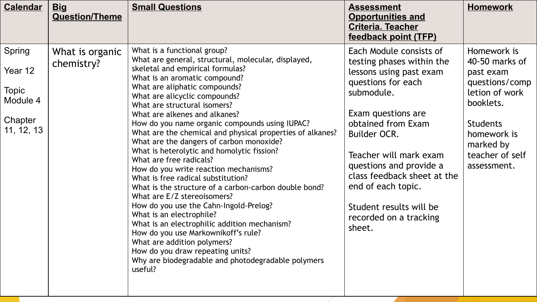| <b>Calendar</b><br><b>Big</b><br><b>Question/Theme</b>                                                  | <b>Small Questions</b>                                                                                                                                                                                                                                                                                                                                                                                                                                                                                                                                                                                                                                                                                                                                                                                                                                                                                                                                                                                 | <b>Assessment</b><br><b>Opportunities and</b><br><b>Criteria. Teacher</b><br>feedback point (TFP)                                                                                                                                                                                                                                                               | <b>Homework</b>                                                                                                                                                              |
|---------------------------------------------------------------------------------------------------------|--------------------------------------------------------------------------------------------------------------------------------------------------------------------------------------------------------------------------------------------------------------------------------------------------------------------------------------------------------------------------------------------------------------------------------------------------------------------------------------------------------------------------------------------------------------------------------------------------------------------------------------------------------------------------------------------------------------------------------------------------------------------------------------------------------------------------------------------------------------------------------------------------------------------------------------------------------------------------------------------------------|-----------------------------------------------------------------------------------------------------------------------------------------------------------------------------------------------------------------------------------------------------------------------------------------------------------------------------------------------------------------|------------------------------------------------------------------------------------------------------------------------------------------------------------------------------|
| Spring<br>What is organic<br>chemistry?<br>Year 12<br><b>Topic</b><br>Module 4<br>Chapter<br>11, 12, 13 | What is a functional group?<br>What are general, structural, molecular, displayed,<br>skeletal and empirical formulas?<br>What is an aromatic compound?<br>What are aliphatic compounds?<br>What are alicyclic compounds?<br>What are structural isomers?<br>What are alkenes and alkanes?<br>How do you name organic compounds using IUPAC?<br>What are the chemical and physical properties of alkanes?<br>What are the dangers of carbon monoxide?<br>What is heterolytic and homolytic fission?<br>What are free radicals?<br>How do you write reaction mechanisms?<br>What is free radical substitution?<br>What is the structure of a carbon-carbon double bond?<br>What are E/Z stereoisomers?<br>How do you use the Cahn-Ingold-Prelog?<br>What is an electrophile?<br>What is an electrophilic addition mechanism?<br>How do you use Markownikoff's rule?<br>What are addition polymers?<br>How do you draw repeating units?<br>Why are biodegradable and photodegradable polymers<br>useful? | Each Module consists of<br>testing phases within the<br>lessons using past exam<br>questions for each<br>submodule.<br>Exam questions are<br>obtained from Exam<br><b>Builder OCR.</b><br>Teacher will mark exam<br>questions and provide a<br>class feedback sheet at the<br>end of each topic.<br>Student results will be<br>recorded on a tracking<br>sheet. | Homework is<br>40-50 marks of<br>past exam<br>questions/comp<br>letion of work<br>booklets.<br><b>Students</b><br>homework is<br>marked by<br>teacher of self<br>assessment. |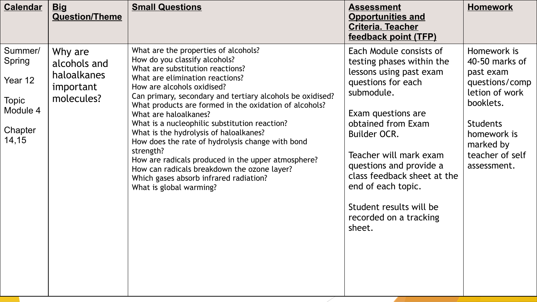| <b>Calendar</b>                                                               | <u>Big</u><br><b>Question/Theme</b>                               | <b>Small Questions</b>                                                                                                                                                                                                                                                                                                                                                                                                                                                                                                                                                                                                                                           | <b>Assessment</b><br><b>Opportunities and</b><br><b>Criteria. Teacher</b><br>feedback point (TFP)                                                                                                                                                                                                                                                               | <b>Homework</b>                                                                                                                                                              |
|-------------------------------------------------------------------------------|-------------------------------------------------------------------|------------------------------------------------------------------------------------------------------------------------------------------------------------------------------------------------------------------------------------------------------------------------------------------------------------------------------------------------------------------------------------------------------------------------------------------------------------------------------------------------------------------------------------------------------------------------------------------------------------------------------------------------------------------|-----------------------------------------------------------------------------------------------------------------------------------------------------------------------------------------------------------------------------------------------------------------------------------------------------------------------------------------------------------------|------------------------------------------------------------------------------------------------------------------------------------------------------------------------------|
| Summer/<br>Spring<br>Year 12<br><b>Topic</b><br>Module 4<br>Chapter<br>14, 15 | Why are<br>alcohols and<br>haloalkanes<br>important<br>molecules? | What are the properties of alcohols?<br>How do you classify alcohols?<br>What are substitution reactions?<br>What are elimination reactions?<br>How are alcohols oxidised?<br>Can primary, secondary and tertiary alcohols be oxidised?<br>What products are formed in the oxidation of alcohols?<br>What are haloalkanes?<br>What is a nucleophilic substitution reaction?<br>What is the hydrolysis of haloalkanes?<br>How does the rate of hydrolysis change with bond<br>strength?<br>How are radicals produced in the upper atmosphere?<br>How can radicals breakdown the ozone layer?<br>Which gases absorb infrared radiation?<br>What is global warming? | Each Module consists of<br>testing phases within the<br>lessons using past exam<br>questions for each<br>submodule.<br>Exam questions are<br>obtained from Exam<br><b>Builder OCR.</b><br>Teacher will mark exam<br>questions and provide a<br>class feedback sheet at the<br>end of each topic.<br>Student results will be<br>recorded on a tracking<br>sheet. | Homework is<br>40-50 marks of<br>past exam<br>questions/comp<br>letion of work<br>booklets.<br><b>Students</b><br>homework is<br>marked by<br>teacher of self<br>assessment. |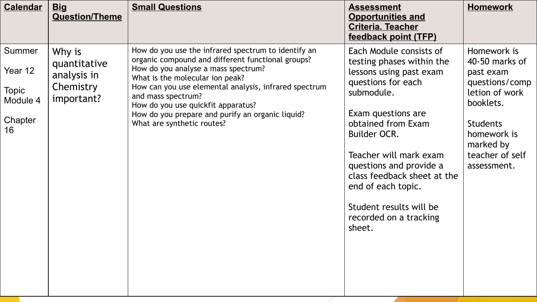| <b>Calendar</b>                                         | <u>Big</u><br><b>Question/Theme</b>                              | <b>Small Questions</b>                                                                                                                                                                                                                                                                                                                                                                    | <b>Assessment</b><br><b>Opportunities and</b><br><b>Criteria. Teacher</b><br>feedback point (TFP)                                                                                                                                                                                                                                                               | <b>Homework</b>                                                                                                                                                              |
|---------------------------------------------------------|------------------------------------------------------------------|-------------------------------------------------------------------------------------------------------------------------------------------------------------------------------------------------------------------------------------------------------------------------------------------------------------------------------------------------------------------------------------------|-----------------------------------------------------------------------------------------------------------------------------------------------------------------------------------------------------------------------------------------------------------------------------------------------------------------------------------------------------------------|------------------------------------------------------------------------------------------------------------------------------------------------------------------------------|
| Summer<br>Year 12<br>Topic<br>Module 4<br>Chapter<br>16 | Why is<br>quantitative<br>analysis in<br>Chemistry<br>important? | How do you use the infrared spectrum to identify an<br>organic compound and different functional groups?<br>How do you analyse a mass spectrum?<br>What is the molecular ion peak?<br>How can you use elemental analysis, infrared spectrum<br>and mass spectrum?<br>How do you use quickfit apparatus?<br>How do you prepare and purify an organic liquid?<br>What are synthetic routes? | Each Module consists of<br>testing phases within the<br>lessons using past exam<br>questions for each<br>submodule.<br>Exam questions are<br>obtained from Exam<br><b>Builder OCR.</b><br>Teacher will mark exam<br>questions and provide a<br>class feedback sheet at the<br>end of each topic.<br>Student results will be<br>recorded on a tracking<br>sheet. | Homework is<br>40-50 marks of<br>past exam<br>questions/comp<br>letion of work<br>booklets.<br><b>Students</b><br>homework is<br>marked by<br>teacher of self<br>assessment. |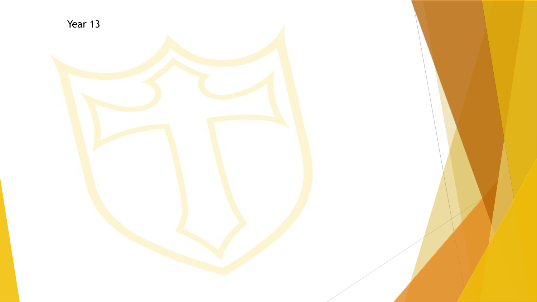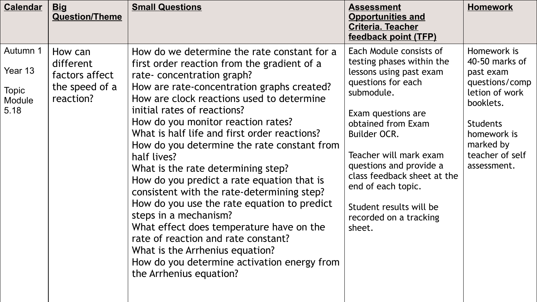| <b>Calendar</b>                                       | <b>Big</b><br><b>Question/Theme</b>                                   | <b>Small Questions</b>                                                                                                                                                                                                                                                                                                                                                                                                                                                                                                                                                                                                                                                                                                                                                                                          | <b>Assessment</b><br><b>Opportunities and</b><br><b>Criteria. Teacher</b><br>feedback point (TFP)                                                                                                                                                                                                                                                               | <b>Homework</b>                                                                                                                                                              |
|-------------------------------------------------------|-----------------------------------------------------------------------|-----------------------------------------------------------------------------------------------------------------------------------------------------------------------------------------------------------------------------------------------------------------------------------------------------------------------------------------------------------------------------------------------------------------------------------------------------------------------------------------------------------------------------------------------------------------------------------------------------------------------------------------------------------------------------------------------------------------------------------------------------------------------------------------------------------------|-----------------------------------------------------------------------------------------------------------------------------------------------------------------------------------------------------------------------------------------------------------------------------------------------------------------------------------------------------------------|------------------------------------------------------------------------------------------------------------------------------------------------------------------------------|
| Autumn 1<br>Year 13<br><b>Topic</b><br>Module<br>5.18 | How can<br>different<br>factors affect<br>the speed of a<br>reaction? | How do we determine the rate constant for a<br>first order reaction from the gradient of a<br>rate-concentration graph?<br>How are rate-concentration graphs created?<br>How are clock reactions used to determine<br>initial rates of reactions?<br>How do you monitor reaction rates?<br>What is half life and first order reactions?<br>How do you determine the rate constant from<br>half lives?<br>What is the rate determining step?<br>How do you predict a rate equation that is<br>consistent with the rate-determining step?<br>How do you use the rate equation to predict<br>steps in a mechanism?<br>What effect does temperature have on the<br>rate of reaction and rate constant?<br>What is the Arrhenius equation?<br>How do you determine activation energy from<br>the Arrhenius equation? | Each Module consists of<br>testing phases within the<br>lessons using past exam<br>questions for each<br>submodule.<br>Exam questions are<br>obtained from Exam<br><b>Builder OCR.</b><br>Teacher will mark exam<br>questions and provide a<br>class feedback sheet at the<br>end of each topic.<br>Student results will be<br>recorded on a tracking<br>sheet. | Homework is<br>40-50 marks of<br>past exam<br>questions/comp<br>letion of work<br>booklets.<br><b>Students</b><br>homework is<br>marked by<br>teacher of self<br>assessment. |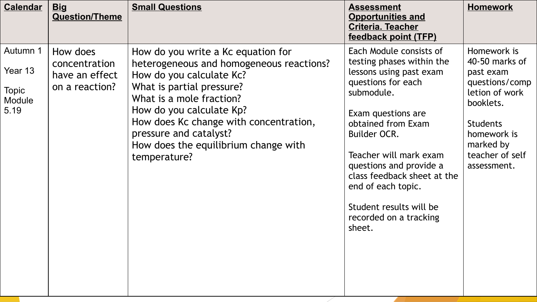| <b>Calendar</b>                                              | <u>Big</u><br><b>Question/Theme</b>                           | <b>Small Questions</b>                                                                                                                                                                                                                                                                                                      | <b>Assessment</b><br><b>Opportunities and</b><br><b>Criteria. Teacher</b><br>feedback point (TFP)                                                                                                                                                                                                                                                               | <b>Homework</b>                                                                                                                                                              |
|--------------------------------------------------------------|---------------------------------------------------------------|-----------------------------------------------------------------------------------------------------------------------------------------------------------------------------------------------------------------------------------------------------------------------------------------------------------------------------|-----------------------------------------------------------------------------------------------------------------------------------------------------------------------------------------------------------------------------------------------------------------------------------------------------------------------------------------------------------------|------------------------------------------------------------------------------------------------------------------------------------------------------------------------------|
| Autumn 1<br>Year 13<br><b>Topic</b><br><b>Module</b><br>5.19 | How does<br>concentration<br>have an effect<br>on a reaction? | How do you write a Kc equation for<br>heterogeneous and homogeneous reactions?<br>How do you calculate Kc?<br>What is partial pressure?<br>What is a mole fraction?<br>How do you calculate Kp?<br>How does Kc change with concentration,<br>pressure and catalyst?<br>How does the equilibrium change with<br>temperature? | Each Module consists of<br>testing phases within the<br>lessons using past exam<br>questions for each<br>submodule.<br>Exam questions are<br>obtained from Exam<br><b>Builder OCR.</b><br>Teacher will mark exam<br>questions and provide a<br>class feedback sheet at the<br>end of each topic.<br>Student results will be<br>recorded on a tracking<br>sheet. | Homework is<br>40-50 marks of<br>past exam<br>questions/comp<br>letion of work<br>booklets.<br><b>Students</b><br>homework is<br>marked by<br>teacher of self<br>assessment. |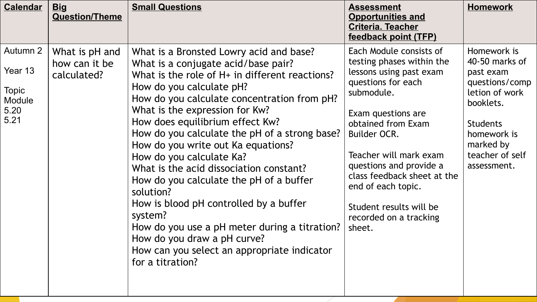| <b>Calendar</b>                                               | <b>Big</b><br><b>Question/Theme</b>            | <b>Small Questions</b>                                                                                                                                                                                                                                                                                                                                                                                                                                                                                                                                                                                                                                                                                           | <b>Assessment</b><br><b>Opportunities and</b><br><b>Criteria. Teacher</b><br>feedback point (TFP)                                                                                                                                                                                                                                                               | <b>Homework</b>                                                                                                                                                              |
|---------------------------------------------------------------|------------------------------------------------|------------------------------------------------------------------------------------------------------------------------------------------------------------------------------------------------------------------------------------------------------------------------------------------------------------------------------------------------------------------------------------------------------------------------------------------------------------------------------------------------------------------------------------------------------------------------------------------------------------------------------------------------------------------------------------------------------------------|-----------------------------------------------------------------------------------------------------------------------------------------------------------------------------------------------------------------------------------------------------------------------------------------------------------------------------------------------------------------|------------------------------------------------------------------------------------------------------------------------------------------------------------------------------|
| Autumn 2<br>Year 13<br><b>Topic</b><br>Module<br>5.20<br>5.21 | What is pH and<br>how can it be<br>calculated? | What is a Bronsted Lowry acid and base?<br>What is a conjugate acid/base pair?<br>What is the role of $H+$ in different reactions?<br>How do you calculate pH?<br>How do you calculate concentration from pH?<br>What is the expression for Kw?<br>How does equilibrium effect Kw?<br>How do you calculate the pH of a strong base?<br>How do you write out Ka equations?<br>How do you calculate Ka?<br>What is the acid dissociation constant?<br>How do you calculate the pH of a buffer<br>solution?<br>How is blood pH controlled by a buffer<br>system?<br>How do you use a pH meter during a titration?<br>How do you draw a pH curve?<br>How can you select an appropriate indicator<br>for a titration? | Each Module consists of<br>testing phases within the<br>lessons using past exam<br>questions for each<br>submodule.<br>Exam questions are<br>obtained from Exam<br><b>Builder OCR.</b><br>Teacher will mark exam<br>questions and provide a<br>class feedback sheet at the<br>end of each topic.<br>Student results will be<br>recorded on a tracking<br>sheet. | Homework is<br>40-50 marks of<br>past exam<br>questions/comp<br>letion of work<br>booklets.<br><b>Students</b><br>homework is<br>marked by<br>teacher of self<br>assessment. |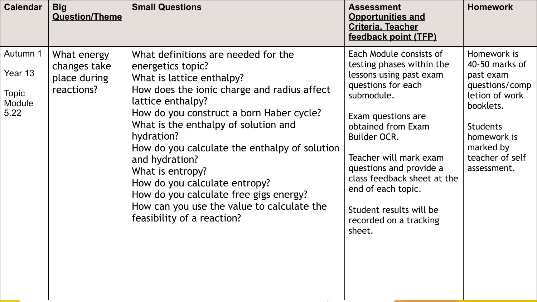| <b>Calendar</b>                                              | <b>Big</b><br><b>Question/Theme</b>                       | <b>Small Questions</b>                                                                                                                                                                                                                                                                                                                                                                                                                                                                                    | <b>Assessment</b><br><b>Opportunities and</b><br><b>Criteria. Teacher</b><br>feedback point (TFP)                                                                                                                                                                                                                                                               | <b>Homework</b>                                                                                                                                                              |
|--------------------------------------------------------------|-----------------------------------------------------------|-----------------------------------------------------------------------------------------------------------------------------------------------------------------------------------------------------------------------------------------------------------------------------------------------------------------------------------------------------------------------------------------------------------------------------------------------------------------------------------------------------------|-----------------------------------------------------------------------------------------------------------------------------------------------------------------------------------------------------------------------------------------------------------------------------------------------------------------------------------------------------------------|------------------------------------------------------------------------------------------------------------------------------------------------------------------------------|
| Autumn 1<br>Year 13<br><b>Topic</b><br><b>Module</b><br>5.22 | What energy<br>changes take<br>place during<br>reactions? | What definitions are needed for the<br>energetics topic?<br>What is lattice enthalpy?<br>How does the ionic charge and radius affect<br>lattice enthalpy?<br>How do you construct a born Haber cycle?<br>What is the enthalpy of solution and<br>hydration?<br>How do you calculate the enthalpy of solution<br>and hydration?<br>What is entropy?<br>How do you calculate entropy?<br>How do you calculate free gigs energy?<br>How can you use the value to calculate the<br>feasibility of a reaction? | Each Module consists of<br>testing phases within the<br>lessons using past exam<br>questions for each<br>submodule.<br>Exam questions are<br>obtained from Exam<br><b>Builder OCR.</b><br>Teacher will mark exam<br>questions and provide a<br>class feedback sheet at the<br>end of each topic.<br>Student results will be<br>recorded on a tracking<br>sheet. | Homework is<br>40-50 marks of<br>past exam<br>questions/comp<br>letion of work<br>booklets.<br><b>Students</b><br>homework is<br>marked by<br>teacher of self<br>assessment. |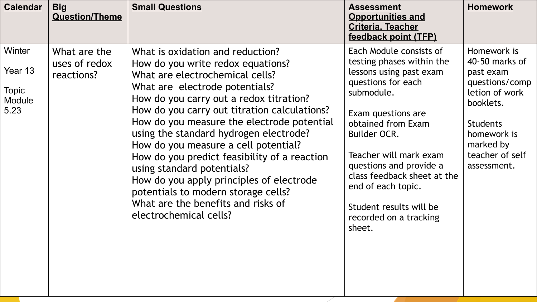| <b>Calendar</b>                                     | <b>Big</b><br><b>Question/Theme</b>         | <b>Small Questions</b>                                                                                                                                                                                                                                                                                                                                                                                                                                                                                                                                                                                 | <b>Assessment</b><br><b>Opportunities and</b><br><b>Criteria. Teacher</b><br>feedback point (TFP)                                                                                                                                                                                                                                                               | <b>Homework</b>                                                                                                                                                              |
|-----------------------------------------------------|---------------------------------------------|--------------------------------------------------------------------------------------------------------------------------------------------------------------------------------------------------------------------------------------------------------------------------------------------------------------------------------------------------------------------------------------------------------------------------------------------------------------------------------------------------------------------------------------------------------------------------------------------------------|-----------------------------------------------------------------------------------------------------------------------------------------------------------------------------------------------------------------------------------------------------------------------------------------------------------------------------------------------------------------|------------------------------------------------------------------------------------------------------------------------------------------------------------------------------|
| Winter<br>Year 13<br>Topic<br><b>Module</b><br>5.23 | What are the<br>uses of redox<br>reactions? | What is oxidation and reduction?<br>How do you write redox equations?<br>What are electrochemical cells?<br>What are electrode potentials?<br>How do you carry out a redox titration?<br>How do you carry out titration calculations?<br>How do you measure the electrode potential<br>using the standard hydrogen electrode?<br>How do you measure a cell potential?<br>How do you predict feasibility of a reaction<br>using standard potentials?<br>How do you apply principles of electrode<br>potentials to modern storage cells?<br>What are the benefits and risks of<br>electrochemical cells? | Each Module consists of<br>testing phases within the<br>lessons using past exam<br>questions for each<br>submodule.<br>Exam questions are<br>obtained from Exam<br><b>Builder OCR.</b><br>Teacher will mark exam<br>questions and provide a<br>class feedback sheet at the<br>end of each topic.<br>Student results will be<br>recorded on a tracking<br>sheet. | Homework is<br>40-50 marks of<br>past exam<br>questions/comp<br>letion of work<br>booklets.<br><b>Students</b><br>homework is<br>marked by<br>teacher of self<br>assessment. |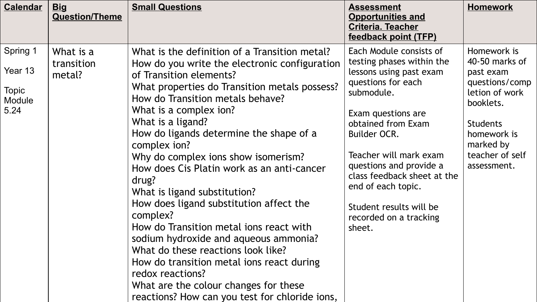| <b>Calendar</b>                                       | <u>Big</u><br><b>Question/Theme</b> | <b>Small Questions</b>                                                                                                                                                                                                                                                                                                                                                                                                                                                                                                                                                                                                                                                                                                                                                                              | <b>Assessment</b><br><b>Opportunities and</b><br><b>Criteria. Teacher</b><br>feedback point (TFP)                                                                                                                                                                                                                                                               | <b>Homework</b>                                                                                                                                                              |
|-------------------------------------------------------|-------------------------------------|-----------------------------------------------------------------------------------------------------------------------------------------------------------------------------------------------------------------------------------------------------------------------------------------------------------------------------------------------------------------------------------------------------------------------------------------------------------------------------------------------------------------------------------------------------------------------------------------------------------------------------------------------------------------------------------------------------------------------------------------------------------------------------------------------------|-----------------------------------------------------------------------------------------------------------------------------------------------------------------------------------------------------------------------------------------------------------------------------------------------------------------------------------------------------------------|------------------------------------------------------------------------------------------------------------------------------------------------------------------------------|
| Spring 1<br>Year 13<br><b>Topic</b><br>Module<br>5.24 | What is a<br>transition<br>metal?   | What is the definition of a Transition metal?<br>How do you write the electronic configuration<br>of Transition elements?<br>What properties do Transition metals possess?<br>How do Transition metals behave?<br>What is a complex ion?<br>What is a ligand?<br>How do ligands determine the shape of a<br>complex ion?<br>Why do complex ions show isomerism?<br>How does Cis Platin work as an anti-cancer<br>drug?<br>What is ligand substitution?<br>How does ligand substitution affect the<br>complex?<br>How do Transition metal ions react with<br>sodium hydroxide and aqueous ammonia?<br>What do these reactions look like?<br>How do transition metal ions react during<br>redox reactions?<br>What are the colour changes for these<br>reactions? How can you test for chloride ions, | Each Module consists of<br>testing phases within the<br>lessons using past exam<br>questions for each<br>submodule.<br>Exam questions are<br>obtained from Exam<br><b>Builder OCR.</b><br>Teacher will mark exam<br>questions and provide a<br>class feedback sheet at the<br>end of each topic.<br>Student results will be<br>recorded on a tracking<br>sheet. | Homework is<br>40-50 marks of<br>past exam<br>questions/comp<br>letion of work<br>booklets.<br><b>Students</b><br>homework is<br>marked by<br>teacher of self<br>assessment. |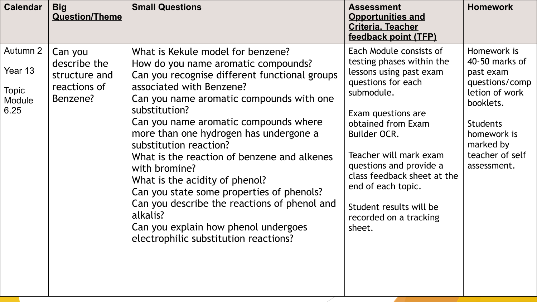| <b>Calendar</b>                                       | <u>Big</u><br><b>Question/Theme</b>                                  | <b>Small Questions</b>                                                                                                                                                                                                                                                                                                                                                                                                                                                                                                                                                                                                      | <b>Assessment</b><br><b>Opportunities and</b><br><b>Criteria. Teacher</b><br>feedback point (TFP)                                                                                                                                                                                                                                                               | <b>Homework</b>                                                                                                                                                              |
|-------------------------------------------------------|----------------------------------------------------------------------|-----------------------------------------------------------------------------------------------------------------------------------------------------------------------------------------------------------------------------------------------------------------------------------------------------------------------------------------------------------------------------------------------------------------------------------------------------------------------------------------------------------------------------------------------------------------------------------------------------------------------------|-----------------------------------------------------------------------------------------------------------------------------------------------------------------------------------------------------------------------------------------------------------------------------------------------------------------------------------------------------------------|------------------------------------------------------------------------------------------------------------------------------------------------------------------------------|
| Autumn 2<br>Year 13<br><b>Topic</b><br>Module<br>6.25 | Can you<br>describe the<br>structure and<br>reactions of<br>Benzene? | What is Kekule model for benzene?<br>How do you name aromatic compounds?<br>Can you recognise different functional groups<br>associated with Benzene?<br>Can you name aromatic compounds with one<br>substitution?<br>Can you name aromatic compounds where<br>more than one hydrogen has undergone a<br>substitution reaction?<br>What is the reaction of benzene and alkenes<br>with bromine?<br>What is the acidity of phenol?<br>Can you state some properties of phenols?<br>Can you describe the reactions of phenol and<br>alkalis?<br>Can you explain how phenol undergoes<br>electrophilic substitution reactions? | Each Module consists of<br>testing phases within the<br>lessons using past exam<br>questions for each<br>submodule.<br>Exam questions are<br>obtained from Exam<br><b>Builder OCR.</b><br>Teacher will mark exam<br>questions and provide a<br>class feedback sheet at the<br>end of each topic.<br>Student results will be<br>recorded on a tracking<br>sheet. | Homework is<br>40-50 marks of<br>past exam<br>questions/comp<br>letion of work<br>booklets.<br><b>Students</b><br>homework is<br>marked by<br>teacher of self<br>assessment. |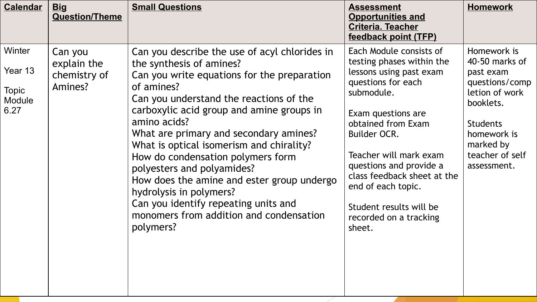| <b>Calendar</b>                                     | <b>Big</b><br><b>Question/Theme</b>               | <b>Small Questions</b>                                                                                                                                                                                                                                                                                                                                                                                                                                                                                                                                                           | <b>Assessment</b><br><b>Opportunities and</b><br><b>Criteria. Teacher</b><br>feedback point (TFP)                                                                                                                                                                                                                                                               | <b>Homework</b>                                                                                                                                                              |
|-----------------------------------------------------|---------------------------------------------------|----------------------------------------------------------------------------------------------------------------------------------------------------------------------------------------------------------------------------------------------------------------------------------------------------------------------------------------------------------------------------------------------------------------------------------------------------------------------------------------------------------------------------------------------------------------------------------|-----------------------------------------------------------------------------------------------------------------------------------------------------------------------------------------------------------------------------------------------------------------------------------------------------------------------------------------------------------------|------------------------------------------------------------------------------------------------------------------------------------------------------------------------------|
| Winter<br>Year 13<br>Topic<br><b>Module</b><br>6.27 | Can you<br>explain the<br>chemistry of<br>Amines? | Can you describe the use of acyl chlorides in<br>the synthesis of amines?<br>Can you write equations for the preparation<br>of amines?<br>Can you understand the reactions of the<br>carboxylic acid group and amine groups in<br>amino acids?<br>What are primary and secondary amines?<br>What is optical isomerism and chirality?<br>How do condensation polymers form<br>polyesters and polyamides?<br>How does the amine and ester group undergo<br>hydrolysis in polymers?<br>Can you identify repeating units and<br>monomers from addition and condensation<br>polymers? | Each Module consists of<br>testing phases within the<br>lessons using past exam<br>questions for each<br>submodule.<br>Exam questions are<br>obtained from Exam<br><b>Builder OCR.</b><br>Teacher will mark exam<br>questions and provide a<br>class feedback sheet at the<br>end of each topic.<br>Student results will be<br>recorded on a tracking<br>sheet. | Homework is<br>40-50 marks of<br>past exam<br>questions/comp<br>letion of work<br>booklets.<br><b>Students</b><br>homework is<br>marked by<br>teacher of self<br>assessment. |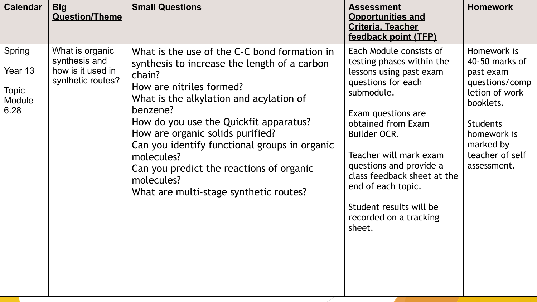| <b>Calendar</b>                                            | <u>Big</u><br><b>Question/Theme</b>                                        | <b>Small Questions</b>                                                                                                                                                                                                                                                                                                                                                                                                                     | <b>Assessment</b><br><b>Opportunities and</b><br><b>Criteria. Teacher</b><br>feedback point (TFP)                                                                                                                                                                                                                                                               | <b>Homework</b>                                                                                                                                                              |
|------------------------------------------------------------|----------------------------------------------------------------------------|--------------------------------------------------------------------------------------------------------------------------------------------------------------------------------------------------------------------------------------------------------------------------------------------------------------------------------------------------------------------------------------------------------------------------------------------|-----------------------------------------------------------------------------------------------------------------------------------------------------------------------------------------------------------------------------------------------------------------------------------------------------------------------------------------------------------------|------------------------------------------------------------------------------------------------------------------------------------------------------------------------------|
| Spring<br>Year 13<br><b>Topic</b><br><b>Module</b><br>6.28 | What is organic<br>synthesis and<br>how is it used in<br>synthetic routes? | What is the use of the C-C bond formation in<br>synthesis to increase the length of a carbon<br>chain?<br>How are nitriles formed?<br>What is the alkylation and acylation of<br>benzene?<br>How do you use the Quickfit apparatus?<br>How are organic solids purified?<br>Can you identify functional groups in organic<br>molecules?<br>Can you predict the reactions of organic<br>molecules?<br>What are multi-stage synthetic routes? | Each Module consists of<br>testing phases within the<br>lessons using past exam<br>questions for each<br>submodule.<br>Exam questions are<br>obtained from Exam<br><b>Builder OCR.</b><br>Teacher will mark exam<br>questions and provide a<br>class feedback sheet at the<br>end of each topic.<br>Student results will be<br>recorded on a tracking<br>sheet. | Homework is<br>40-50 marks of<br>past exam<br>questions/comp<br>letion of work<br>booklets.<br><b>Students</b><br>homework is<br>marked by<br>teacher of self<br>assessment. |